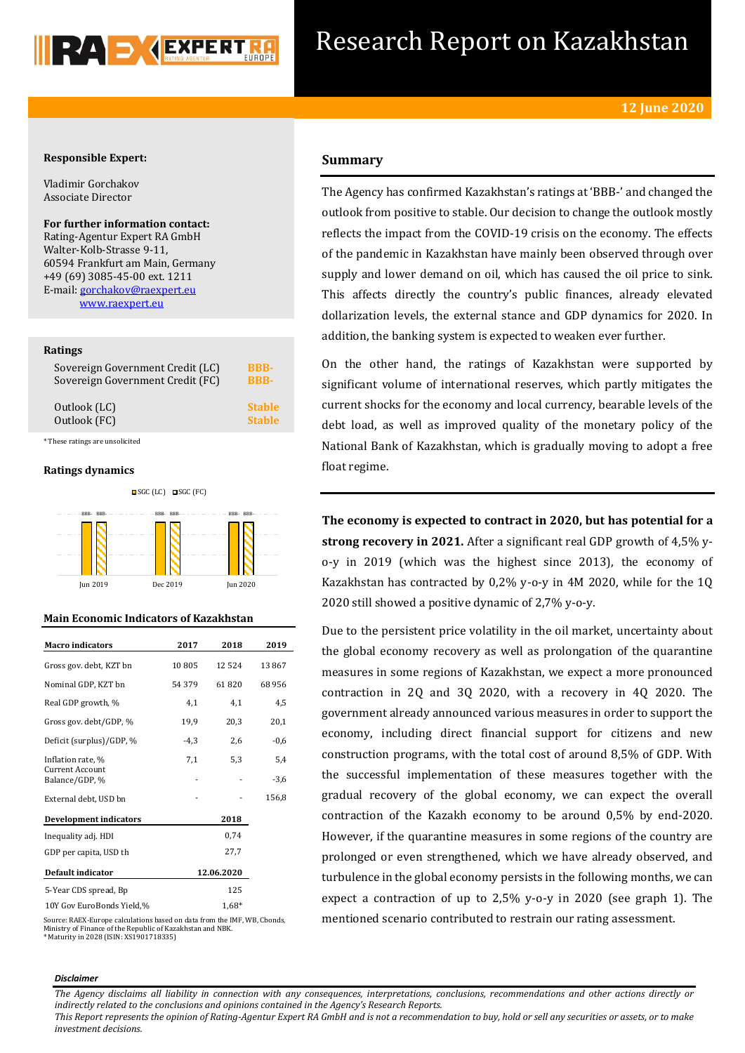

# Research Report on Kazakhstan

# **Responsible Expert:**

Vladimir Gorchakov Associate Director

**For further information contact:** Rating-Agentur Expert RA GmbH Walter-Kolb-Strasse 9-11, 60594 Frankfurt am Main, Germany +49 (69) 3085-45-00 ext. 1211 E-mail[: gorchakov@raexpert.eu](mailto:gorchakov@raexpert.eu) [www.raexpert.eu](http://raexpert.eu/)

# **Ratings**

| Sovereign Government Credit (LC) | <b>BBB-</b>   |
|----------------------------------|---------------|
| Sovereign Government Credit (FC) | <b>BBB-</b>   |
| Outlook (LC)                     | <b>Stable</b> |
| Outlook (FC)                     | <b>Stable</b> |

\* These ratings are unsolicited

# **Ratings dynamics**



# **Main Economic Indicators of Kazakhstan**

| <b>Macro indicators</b>                  | 2017   | 2018       | 2019   |
|------------------------------------------|--------|------------|--------|
| Gross gov. debt, KZT bn                  | 10805  | 12 5 24    | 13867  |
| Nominal GDP, KZT bn                      | 54 379 | 61820      | 68956  |
| Real GDP growth, %                       | 4,1    | 4,1        | 4,5    |
| Gross gov. debt/GDP, %                   | 19,9   | 20,3       | 20,1   |
| Deficit (surplus)/GDP, %                 | $-4,3$ | 2,6        | $-0,6$ |
| Inflation rate, %                        | 7,1    | 5,3        | 5,4    |
| <b>Current Account</b><br>Balance/GDP, % |        |            | $-3,6$ |
| External debt, USD bn                    |        |            | 156,8  |
| <b>Development indicators</b>            |        | 2018       |        |
| Inequality adj. HDI                      |        | 0,74       |        |
| GDP per capita, USD th                   |        | 27,7       |        |
| <b>Default indicator</b>                 |        | 12.06.2020 |        |
| 5-Year CDS spread, Bp                    |        | 125        |        |
| 10Y Gov EuroBonds Yield,%                |        | $1.68*$    |        |

# **Summary**

The Agency has confirmed Kazakhstan's ratings at 'BBB-' and changed the outlook from positive to stable. Our decision to change the outlook mostly reflects the impact from the COVID-19 crisis on the economy. The effects of the pandemic in Kazakhstan have mainly been observed through over supply and lower demand on oil, which has caused the oil price to sink. This affects directly the country's public finances, already elevated dollarization levels, the external stance and GDP dynamics for 2020. In addition, the banking system is expected to weaken ever further.

On the other hand, the ratings of Kazakhstan were supported by significant volume of international reserves, which partly mitigates the current shocks for the economy and local currency, bearable levels of the debt load, as well as improved quality of the monetary policy of the National Bank of Kazakhstan, which is gradually moving to adopt a free float regime.

**The economy is expected to contract in 2020, but has potential for a strong recovery in 2021.** After a significant real GDP growth of 4,5% yo-y in 2019 (which was the highest since 2013), the economy of Kazakhstan has contracted by 0,2% y-o-y in 4M 2020, while for the 1Q 2020 still showed a positive dynamic of 2,7% y-o-y.

Due to the persistent price volatility in the oil market, uncertainty about the global economy recovery as well as prolongation of the quarantine measures in some regions of Kazakhstan, we expect a more pronounced contraction in 2Q and 3Q 2020, with a recovery in 4Q 2020. The government already announced various measures in order to support the economy, including direct financial support for citizens and new construction programs, with the total cost of around 8,5% of GDP. With the successful implementation of these measures together with the gradual recovery of the global economy, we can expect the overall contraction of the Kazakh economy to be around 0,5% by end-2020. However, if the quarantine measures in some regions of the country are prolonged or even strengthened, which we have already observed, and turbulence in the global economy persists in the following months, we can expect a contraction of up to 2,5% y-o-y in 2020 (see graph 1). The mentioned scenario contributed to restrain our rating assessment.

Source: RAEX-Europe calculations based on data from the IMF, WB, Cbonds, Ministry of Finance of the Republic of Kazakhstan and NBK. \* Maturity in 2028 (ISIN: XS1901718335)

#### *Disclaimer*

*The Agency disclaims all liability in connection with any consequences, interpretations, conclusions, recommendations and other actions directly or indirectly related to the conclusions and opinions contained in the Agency's Research Reports.*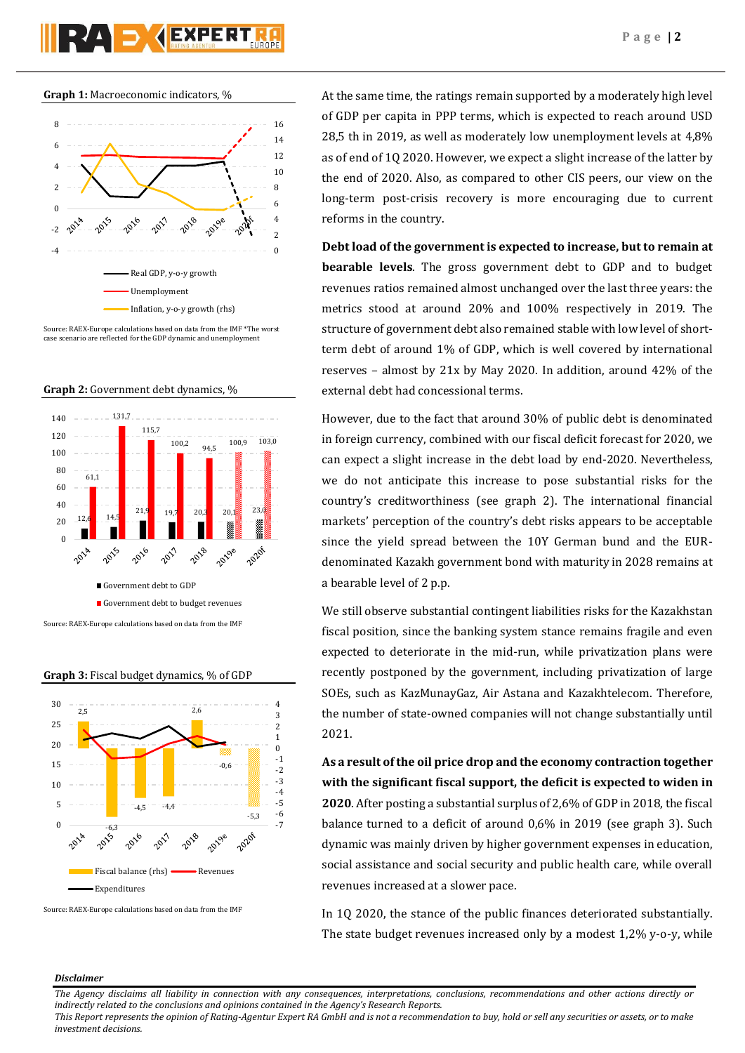



Source: RAEX-Europe calculations based on data from the IMF \*The worst case scenario are reflected for the GDP dynamic and unemployment





**Graph 3:** Fiscal budget dynamics, % of GDP



Source: RAEX-Europe calculations based on data from the IMF

At the same time, the ratings remain supported by a moderately high level of GDP per capita in PPP terms, which is expected to reach around USD 28,5 th in 2019, as well as moderately low unemployment levels at 4,8% as of end of 1Q 2020. However, we expect a slight increase of the latter by the end of 2020. Also, as compared to other CIS peers, our view on the long-term post-crisis recovery is more encouraging due to current reforms in the country.

**Debt load of the government is expected to increase, but to remain at bearable levels**. The gross government debt to GDP and to budget revenues ratios remained almost unchanged over the last three years: the metrics stood at around 20% and 100% respectively in 2019. The structure of government debt also remained stable with low level of shortterm debt of around 1% of GDP, which is well covered by international reserves – almost by 21x by May 2020. In addition, around 42% of the external debt had concessional terms.

However, due to the fact that around 30% of public debt is denominated in foreign currency, combined with our fiscal deficit forecast for 2020, we can expect a slight increase in the debt load by end-2020. Nevertheless, we do not anticipate this increase to pose substantial risks for the country's creditworthiness (see graph 2). The international financial markets' perception of the country's debt risks appears to be acceptable since the yield spread between the 10Y German bund and the EURdenominated Kazakh government bond with maturity in 2028 remains at a bearable level of 2 p.p.

We still observe substantial contingent liabilities risks for the Kazakhstan fiscal position, since the banking system stance remains fragile and even expected to deteriorate in the mid-run, while privatization plans were recently postponed by the government, including privatization of large SOEs, such as KazMunayGaz, Air Astana and Kazakhtelecom. Therefore, the number of state-owned companies will not change substantially until 2021.

**As a result of the oil price drop and the economy contraction together with the significant fiscal support, the deficit is expected to widen in 2020**. After posting a substantial surplus of 2,6% of GDP in 2018, the fiscal balance turned to a deficit of around 0,6% in 2019 (see graph 3). Such dynamic was mainly driven by higher government expenses in education, social assistance and social security and public health care, while overall revenues increased at a slower pace.

In 1Q 2020, the stance of the public finances deteriorated substantially. The state budget revenues increased only by a modest 1,2% y-o-y, while

# *Disclaimer*

*The Agency disclaims all liability in connection with any consequences, interpretations, conclusions, recommendations and other actions directly or indirectly related to the conclusions and opinions contained in the Agency's Research Reports.*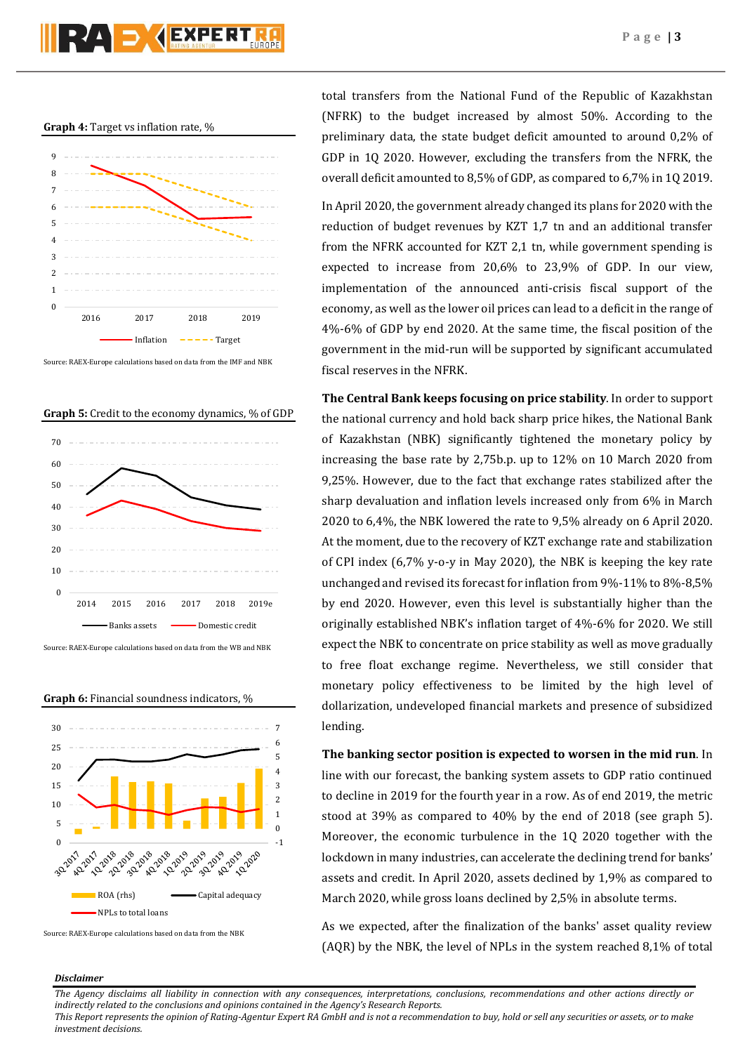# **Graph 4:** Target vs inflation rate, %



Source: RAEX-Europe calculations based on data from the IMF and NBK

**Graph 5:** Credit to the economy dynamics, % of GDP



Source: RAEX-Europe calculations based on data from the WB and NBK





Source: RAEX-Europe calculations based on data from the NBK

total transfers from the National Fund of the Republic of Kazakhstan (NFRK) to the budget increased by almost 50%. According to the preliminary data, the state budget deficit amounted to around 0,2% of GDP in 1Q 2020. However, excluding the transfers from the NFRK, the overall deficit amounted to 8,5% of GDP, as compared to 6,7% in 1Q 2019.

In April 2020, the government already changed its plans for 2020 with the reduction of budget revenues by KZT 1,7 tn and an additional transfer from the NFRK accounted for KZT 2,1 tn, while government spending is expected to increase from 20,6% to 23,9% of GDP. In our view, implementation of the announced anti-crisis fiscal support of the economy, as well as the lower oil prices can lead to a deficit in the range of 4%-6% of GDP by end 2020. At the same time, the fiscal position of the government in the mid-run will be supported by significant accumulated fiscal reserves in the NFRK.

**The Central Bank keeps focusing on price stability**. In order to support the national currency and hold back sharp price hikes, the National Bank of Kazakhstan (NBK) significantly tightened the monetary policy by increasing the base rate by 2,75b.p. up to 12% on 10 March 2020 from 9,25%. However, due to the fact that exchange rates stabilized after the sharp devaluation and inflation levels increased only from 6% in March 2020 to 6,4%, the NBK lowered the rate to 9,5% already on 6 April 2020. At the moment, due to the recovery of KZT exchange rate and stabilization of CPI index (6,7% y-o-y in May 2020), the NBK is keeping the key rate unchanged and revised its forecast for inflation from 9%-11% to 8%-8,5% by end 2020. However, even this level is substantially higher than the originally established NBK's inflation target of 4%-6% for 2020. We still expect the NBK to concentrate on price stability as well as move gradually to free float exchange regime. Nevertheless, we still consider that monetary policy effectiveness to be limited by the high level of dollarization, undeveloped financial markets and presence of subsidized lending.

**The banking sector position is expected to worsen in the mid run**. In line with our forecast, the banking system assets to GDP ratio continued to decline in 2019 for the fourth year in a row. As of end 2019, the metric stood at 39% as compared to 40% by the end of 2018 (see graph 5). Moreover, the economic turbulence in the 1Q 2020 together with the lockdown in many industries, can accelerate the declining trend for banks' assets and credit. In April 2020, assets declined by 1,9% as compared to March 2020, while gross loans declined by 2,5% in absolute terms.

As we expected, after the finalization of the banks' asset quality review (AQR) by the NBK, the level of NPLs in the system reached 8,1% of total

# *Disclaimer*

*The Agency disclaims all liability in connection with any consequences, interpretations, conclusions, recommendations and other actions directly or indirectly related to the conclusions and opinions contained in the Agency's Research Reports.*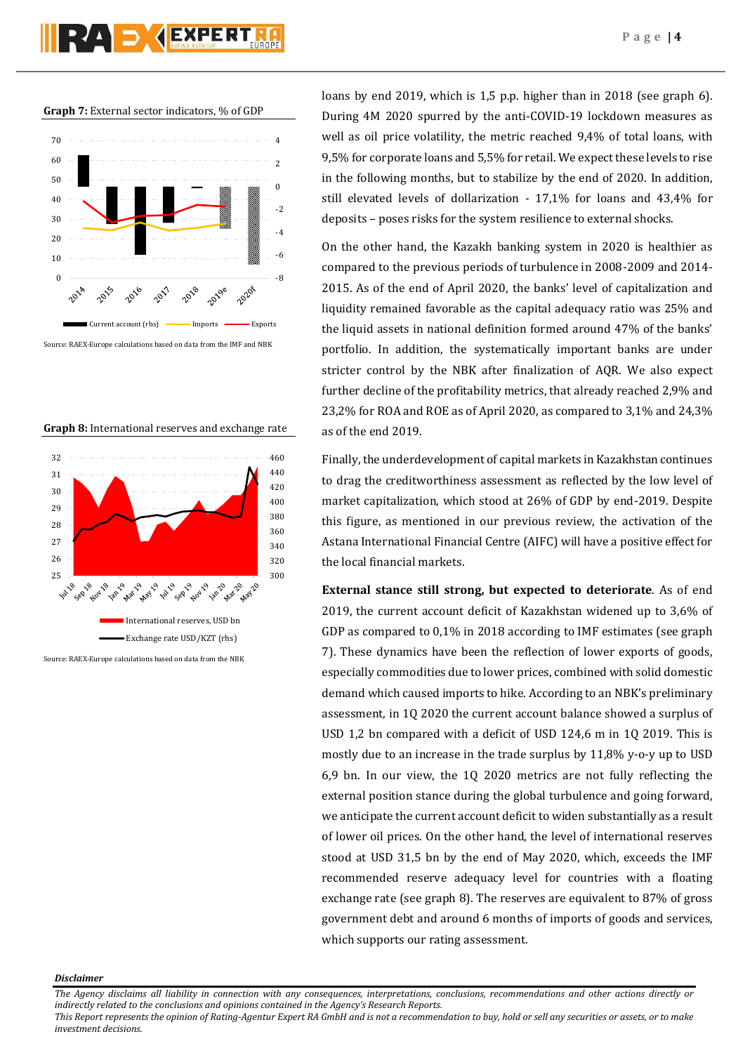**Graph 7:** External sector indicators, % of GDP



**Graph 8:** International reserves and exchange rate



loans by end 2019, which is 1,5 p.p. higher than in 2018 (see graph 6). During 4M 2020 spurred by the anti-COVID-19 lockdown measures as well as oil price volatility, the metric reached 9,4% of total loans, with 9,5% for corporate loans and 5,5% for retail. We expect these levels to rise in the following months, but to stabilize by the end of 2020. In addition, still elevated levels of dollarization - 17,1% for loans and 43,4% for deposits – poses risks for the system resilience to external shocks.

On the other hand, the Kazakh banking system in 2020 is healthier as compared to the previous periods of turbulence in 2008-2009 and 2014- 2015. As of the end of April 2020, the banks' level of capitalization and liquidity remained favorable as the capital adequacy ratio was 25% and the liquid assets in national definition formed around 47% of the banks' portfolio. In addition, the systematically important banks are under stricter control by the NBK after finalization of AQR. We also expect further decline of the profitability metrics, that already reached 2,9% and 23,2% for ROA and ROE as of April 2020, as compared to 3,1% and 24,3% as of the end 2019.

Finally, the underdevelopment of capital markets in Kazakhstan continues to drag the creditworthiness assessment as reflected by the low level of market capitalization, which stood at 26% of GDP by end-2019. Despite this figure, as mentioned in our previous review, the activation of the Astana International Financial Centre (AIFC) will have a positive effect for the local financial markets.

**External stance still strong, but expected to deteriorate**. As of end 2019, the current account deficit of Kazakhstan widened up to 3,6% of GDP as compared to 0,1% in 2018 according to IMF estimates (see graph 7). These dynamics have been the reflection of lower exports of goods, especially commodities due to lower prices, combined with solid domestic demand which caused imports to hike. According to an NBK's preliminary assessment, in 1Q 2020 the current account balance showed a surplus of USD 1,2 bn compared with a deficit of USD 124,6 m in 1Q 2019. This is mostly due to an increase in the trade surplus by 11,8% y-o-y up to USD 6,9 bn. In our view, the 1Q 2020 metrics are not fully reflecting the external position stance during the global turbulence and going forward, we anticipate the current account deficit to widen substantially as a result of lower oil prices. On the other hand, the level of international reserves stood at USD 31,5 bn by the end of May 2020, which, exceeds the IMF recommended reserve adequacy level for countries with a floating exchange rate (see graph 8). The reserves are equivalent to 87% of gross government debt and around 6 months of imports of goods and services, which supports our rating assessment.

*Disclaimer* 

*The Agency disclaims all liability in connection with any consequences, interpretations, conclusions, recommendations and other actions directly or indirectly related to the conclusions and opinions contained in the Agency's Research Reports.*